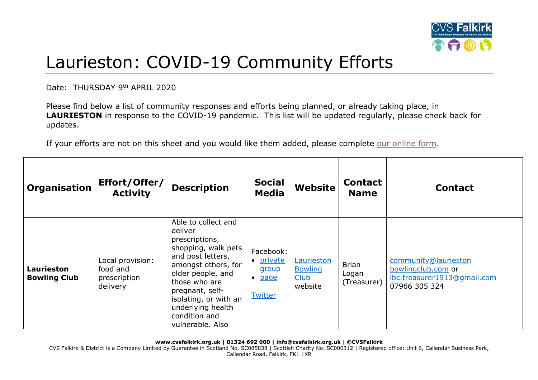

## Laurieston: COVID-19 Community Efforts

Date: THURSDAY 9th APRIL 2020

Please find below a list of community responses and efforts being planned, or already taking place, in **LAURIESTON** in response to the COVID-19 pandemic. This list will be updated regularly, please check back for updates.

If your efforts are not on this sheet and you would like them added, please complete [our online form.](https://forms.office.com/Pages/ResponsePage.aspx?id=6VEZaLCW4EefTnjqs1GaupRwm5MIeS1HoQIx_4VQsBJUODFFNjQ4S0YzN0tIODdPOUJWTTJFNkg2QS4u)

| <b>Organisation</b>                      | Effort/Offer/<br><b>Activity</b>                         | <b>Description</b>                                                                                                                                                                                                                                              | <b>Social</b><br><b>Media</b>                                          | <b>Website</b>                                         | <b>Contact</b><br><b>Name</b>        | <b>Contact</b>                                                                             |
|------------------------------------------|----------------------------------------------------------|-----------------------------------------------------------------------------------------------------------------------------------------------------------------------------------------------------------------------------------------------------------------|------------------------------------------------------------------------|--------------------------------------------------------|--------------------------------------|--------------------------------------------------------------------------------------------|
| <b>Laurieston</b><br><b>Bowling Club</b> | Local provision:<br>food and<br>prescription<br>delivery | Able to collect and<br>deliver<br>prescriptions,<br>shopping, walk pets<br>and post letters,<br>amongst others, for<br>older people, and<br>those who are<br>pregnant, self-<br>isolating, or with an<br>underlying health<br>condition and<br>vulnerable. Also | Facebook:<br>• private<br>group<br><b>page</b><br>$\bullet$<br>Twitter | Laurieston<br><b>Bowling</b><br><b>Club</b><br>website | <b>Brian</b><br>Logan<br>(Treasurer) | community@laurieston<br>bowlingclub.com or<br>lbc.treasurer1913@gmail.com<br>07966 305 324 |

**www.cvsfalkirk.org.uk | 01324 692 000 | info@cvsfalkirk.org.uk | @CVSFalkirk** 

CVS Falkirk & District is a Company Limited by Guarantee in Scotland No. SC085838 | Scottish Charity No. SC000312 | Registered office: Unit 6, Callendar Business Park, Callendar Road, Falkirk, FK1 1XR